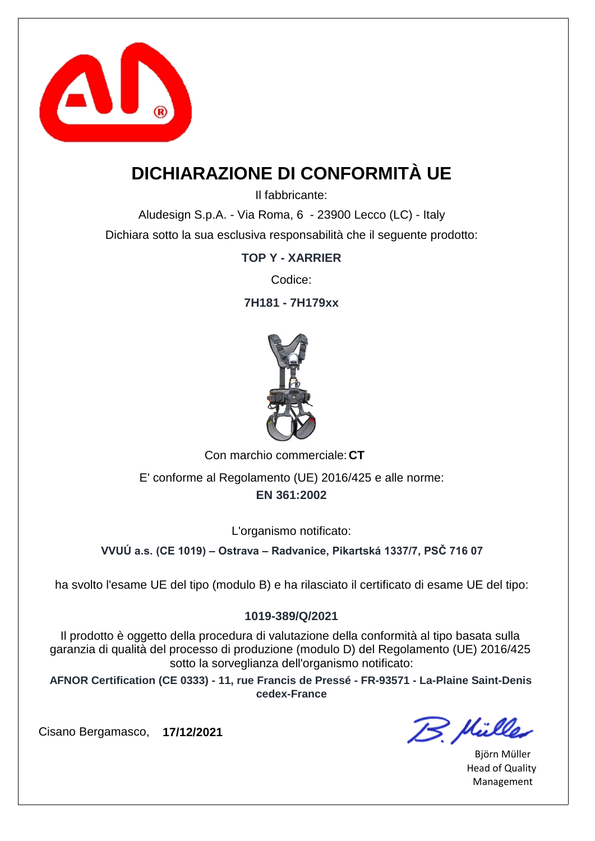

### **DICHIARAZIONE DI CONFORMITÀ UE**

Il fabbricante:

Aludesign S.p.A. - Via Roma, 6 - 23900 Lecco (LC) - Italy Dichiara sotto la sua esclusiva responsabilità che il seguente prodotto:

**TOP Y - XARRIER**

Codice:

**7H181 - 7H179xx**



Con marchio commerciale: CT **EN 361:2002** E' conforme al Regolamento (UE) 2016/425 e alle norme:

L'organismo notificato:

**VVUÚ a.s. (CE 1019) – Ostrava – Radvanice, Pikartská 1337/7, PSČ 716 07**

ha svolto l'esame UE del tipo (modulo B) e ha rilasciato il certificato di esame UE del tipo:

#### **1019-389/Q/2021**

Il prodotto è oggetto della procedura di valutazione della conformità al tipo basata sulla garanzia di qualità del processo di produzione (modulo D) del Regolamento (UE) 2016/425 sotto la sorveglianza dell'organismo notificato:

**AFNOR Certification (CE 0333) - 11, rue Francis de Pressé - FR-93571 - La-Plaine Saint-Denis cedex-France**

B. Mülles

Björn Müller Head of Quality Management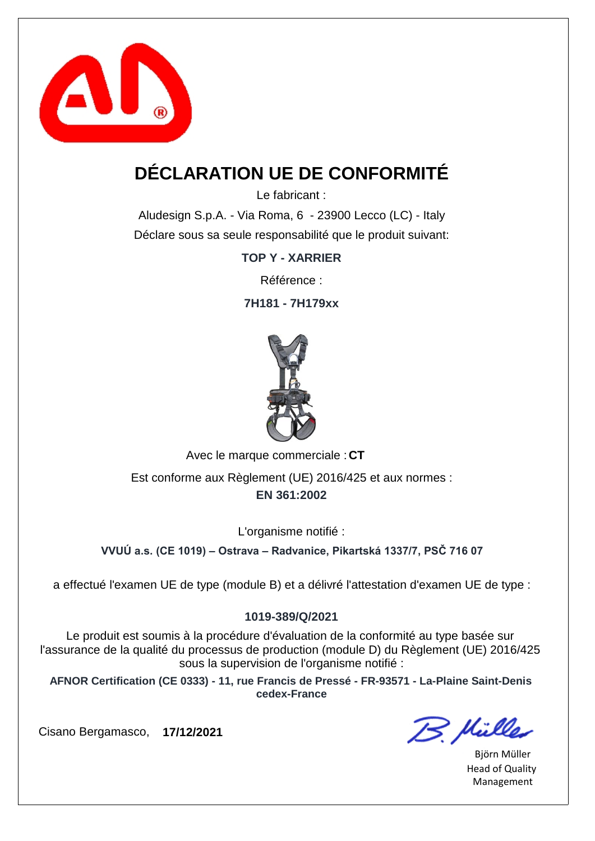

## **DÉCLARATION UE DE CONFORMITÉ**

Le fabricant :

Aludesign S.p.A. - Via Roma, 6 - 23900 Lecco (LC) - Italy Déclare sous sa seule responsabilité que le produit suivant:

**TOP Y - XARRIER**

Référence :

**7H181 - 7H179xx**



Avec le marque commerciale : CT

**EN 361:2002** Est conforme aux Règlement (UE) 2016/425 et aux normes :

L'organisme notifié :

**VVUÚ a.s. (CE 1019) – Ostrava – Radvanice, Pikartská 1337/7, PSČ 716 07**

a effectué l'examen UE de type (module B) et a délivré l'attestation d'examen UE de type :

#### **1019-389/Q/2021**

Le produit est soumis à la procédure d'évaluation de la conformité au type basée sur l'assurance de la qualité du processus de production (module D) du Règlement (UE) 2016/425 sous la supervision de l'organisme notifié :

**AFNOR Certification (CE 0333) - 11, rue Francis de Pressé - FR-93571 - La-Plaine Saint-Denis cedex-France**

Cisano Bergamasco, **17/12/2021**

B. Hülles

Björn Müller Head of Quality Management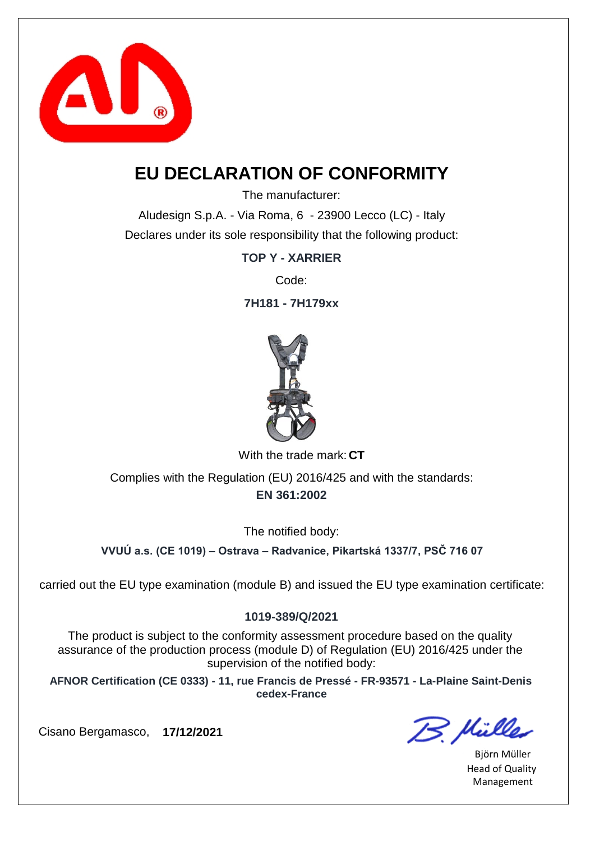

### **EU DECLARATION OF CONFORMITY**

The manufacturer:

Aludesign S.p.A. - Via Roma, 6 - 23900 Lecco (LC) - Italy Declares under its sole responsibility that the following product:

**TOP Y - XARRIER**

Code:

**7H181 - 7H179xx**



With the trade mark: CT

**EN 361:2002** Complies with the Regulation (EU) 2016/425 and with the standards:

The notified body:

**VVUÚ a.s. (CE 1019) – Ostrava – Radvanice, Pikartská 1337/7, PSČ 716 07**

carried out the EU type examination (module B) and issued the EU type examination certificate:

#### **1019-389/Q/2021**

The product is subject to the conformity assessment procedure based on the quality assurance of the production process (module D) of Regulation (EU) 2016/425 under the supervision of the notified body:

**AFNOR Certification (CE 0333) - 11, rue Francis de Pressé - FR-93571 - La-Plaine Saint-Denis cedex-France**

B. Mülles

Björn Müller Head of Quality Management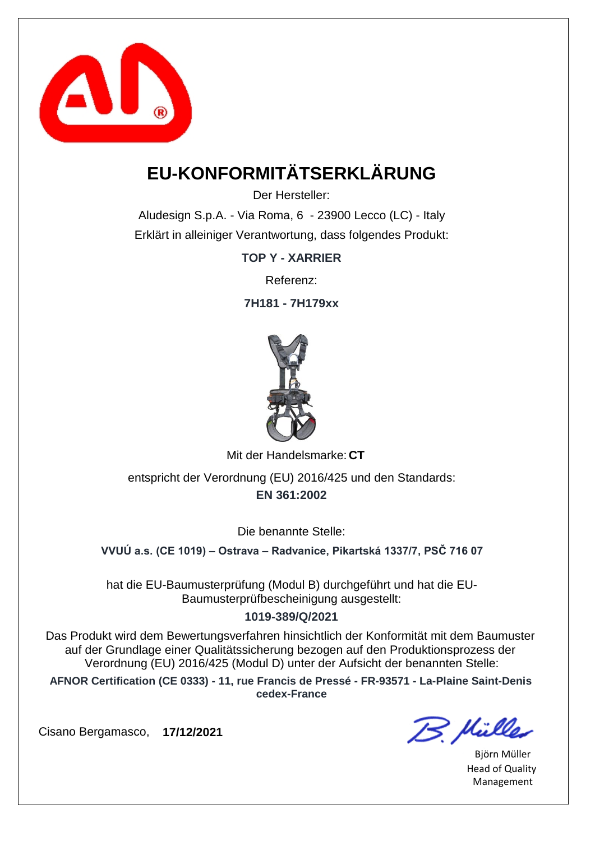

# **EU-KONFORMITÄTSERKLÄRUNG**

Der Hersteller:

Aludesign S.p.A. - Via Roma, 6 - 23900 Lecco (LC) - Italy Erklärt in alleiniger Verantwortung, dass folgendes Produkt:

**TOP Y - XARRIER**

Referenz:

**7H181 - 7H179xx**



Mit der Handelsmarke: CT

**EN 361:2002** entspricht der Verordnung (EU) 2016/425 und den Standards:

Die benannte Stelle:

**VVUÚ a.s. (CE 1019) – Ostrava – Radvanice, Pikartská 1337/7, PSČ 716 07**

hat die EU-Baumusterprüfung (Modul B) durchgeführt und hat die EU-Baumusterprüfbescheinigung ausgestellt:

#### **1019-389/Q/2021**

Das Produkt wird dem Bewertungsverfahren hinsichtlich der Konformität mit dem Baumuster auf der Grundlage einer Qualitätssicherung bezogen auf den Produktionsprozess der Verordnung (EU) 2016/425 (Modul D) unter der Aufsicht der benannten Stelle:

**AFNOR Certification (CE 0333) - 11, rue Francis de Pressé - FR-93571 - La-Plaine Saint-Denis cedex-France**

B. Hülles

Björn Müller Head of Quality Management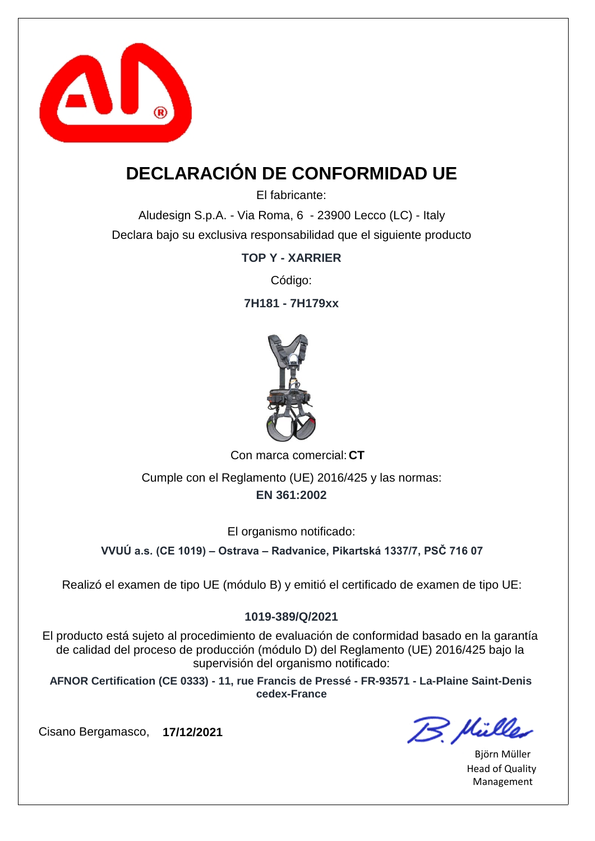

## **DECLARACIÓN DE CONFORMIDAD UE**

El fabricante:

Aludesign S.p.A. - Via Roma, 6 - 23900 Lecco (LC) - Italy Declara bajo su exclusiva responsabilidad que el siguiente producto

**TOP Y - XARRIER**

Código:

**7H181 - 7H179xx**



Con marca comercial: CT

**EN 361:2002** Cumple con el Reglamento (UE) 2016/425 y las normas:

El organismo notificado:

**VVUÚ a.s. (CE 1019) – Ostrava – Radvanice, Pikartská 1337/7, PSČ 716 07**

Realizó el examen de tipo UE (módulo B) y emitió el certificado de examen de tipo UE:

#### **1019-389/Q/2021**

El producto está sujeto al procedimiento de evaluación de conformidad basado en la garantía de calidad del proceso de producción (módulo D) del Reglamento (UE) 2016/425 bajo la supervisión del organismo notificado:

**AFNOR Certification (CE 0333) - 11, rue Francis de Pressé - FR-93571 - La-Plaine Saint-Denis cedex-France**

B. Mülles

Björn Müller Head of Quality Management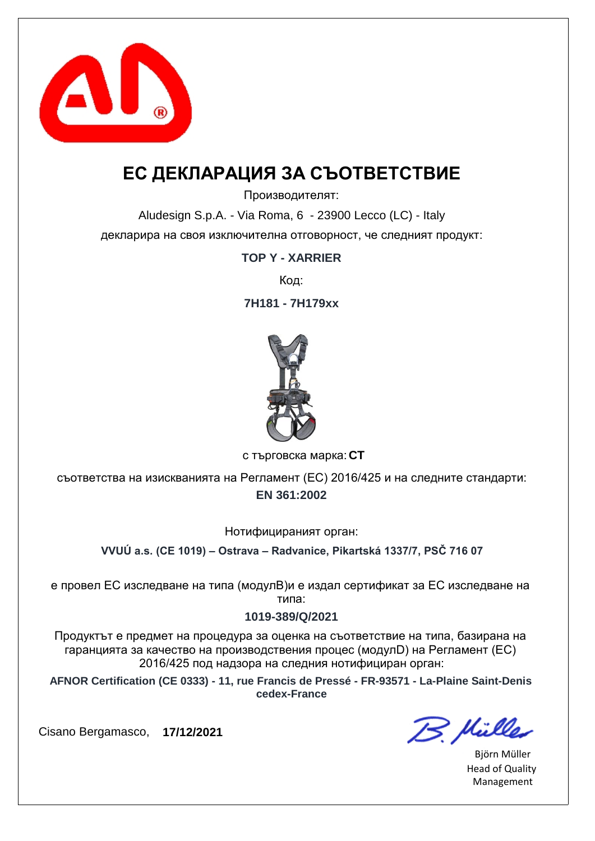

### **ЕС ДЕКЛАРАЦИЯ ЗА СЪОТВЕТСТВИЕ**

Производителят:

Aludesign S.p.A. - Via Roma, 6 - 23900 Lecco (LC) - Italy декларира на своя изключителна отговорност, че следният продукт:

**TOP Y - XARRIER**

Код:

**7H181 - 7H179xx**



**CT** с търговска марка:

**EN 361:2002** съответства на изискванията на Регламент (ЕС) 2016/425 и на следните стандарти:

Нотифицираният орган:

**VVUÚ a.s. (CE 1019) – Ostrava – Radvanice, Pikartská 1337/7, PSČ 716 07**

е провел ЕС изследване на типа (модулB)и е издал сертификат за ЕС изследване на типа:

#### **1019-389/Q/2021**

Продуктът е предмет на процедура за оценка на съответствие на типа, базирана на гаранцията за качество на производствения процес (модулD) на Регламент (ЕС) 2016/425 под надзора на следния нотифициран орган:

**AFNOR Certification (CE 0333) - 11, rue Francis de Pressé - FR-93571 - La-Plaine Saint-Denis cedex-France**

B. Hülles

Björn Müller Head of Quality Management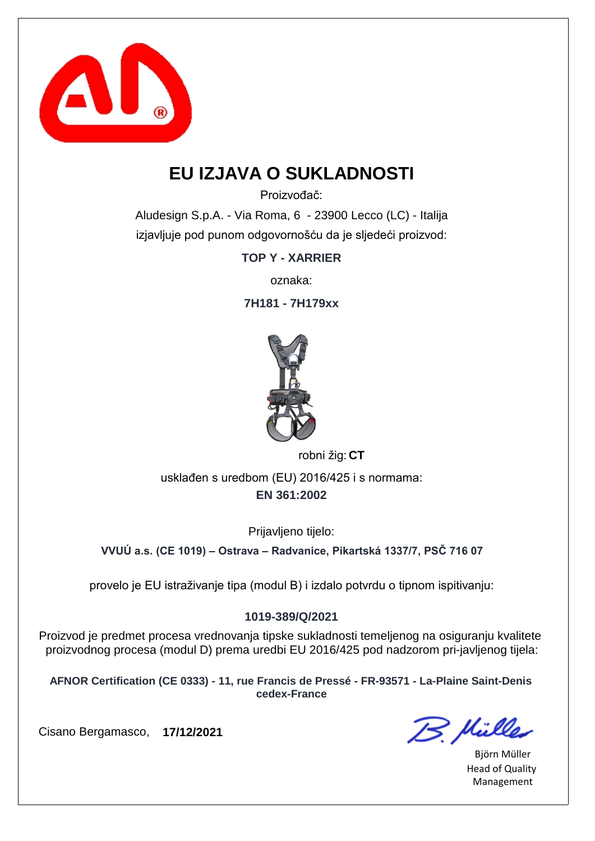

### **EU IZJAVA O SUKLADNOSTI**

Proizvođač:

Aludesign S.p.A. - Via Roma, 6 - 23900 Lecco (LC) - Italija izjavljuje pod punom odgovornošću da je sljedeći proizvod:

**TOP Y - XARRIER**

oznaka:

**7H181 - 7H179xx**



robni žig: CT

**EN 361:2002** usklađen s uredbom (EU) 2016/425 i s normama:

Prijavljeno tijelo:

**VVUÚ a.s. (CE 1019) – Ostrava – Radvanice, Pikartská 1337/7, PSČ 716 07**

provelo je EU istraživanje tipa (modul B) i izdalo potvrdu o tipnom ispitivanju:

#### **1019-389/Q/2021**

Proizvod je predmet procesa vrednovanja tipske sukladnosti temeljenog na osiguranju kvalitete proizvodnog procesa (modul D) prema uredbi EU 2016/425 pod nadzorom pri-javljenog tijela:

**AFNOR Certification (CE 0333) - 11, rue Francis de Pressé - FR-93571 - La-Plaine Saint-Denis cedex-France**

B. Müller

Björn Müller Head of Quality Management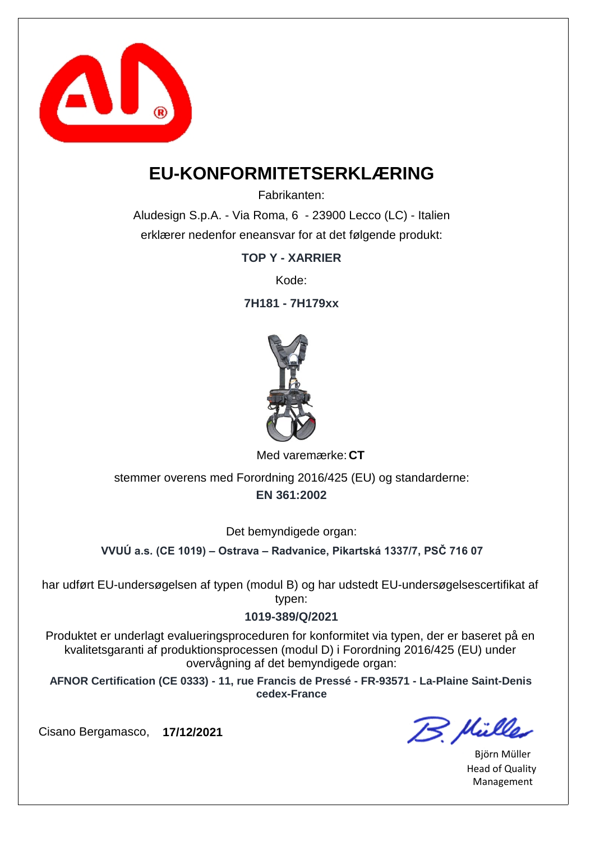

### **EU-KONFORMITETSERKLÆRING**

Fabrikanten:

Aludesign S.p.A. - Via Roma, 6 - 23900 Lecco (LC) - Italien erklærer nedenfor eneansvar for at det følgende produkt:

**TOP Y - XARRIER**

Kode:

**7H181 - 7H179xx**



Med varemærke: CT

**EN 361:2002** stemmer overens med Forordning 2016/425 (EU) og standarderne:

Det bemyndigede organ:

**VVUÚ a.s. (CE 1019) – Ostrava – Radvanice, Pikartská 1337/7, PSČ 716 07**

har udført EU-undersøgelsen af typen (modul B) og har udstedt EU-undersøgelsescertifikat af typen:

#### **1019-389/Q/2021**

Produktet er underlagt evalueringsproceduren for konformitet via typen, der er baseret på en kvalitetsgaranti af produktionsprocessen (modul D) i Forordning 2016/425 (EU) under overvågning af det bemyndigede organ:

**AFNOR Certification (CE 0333) - 11, rue Francis de Pressé - FR-93571 - La-Plaine Saint-Denis cedex-France**

B. Mülles

Björn Müller Head of Quality Management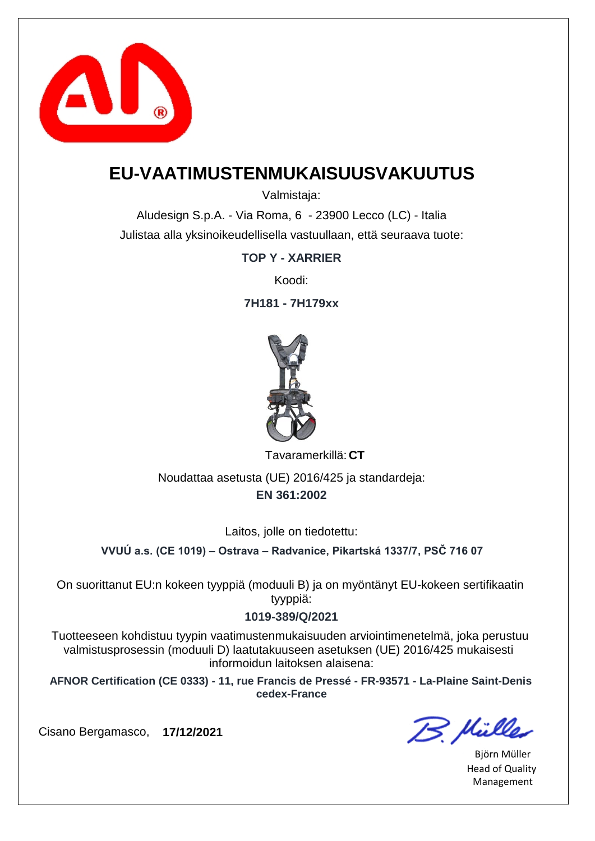

### **EU-VAATIMUSTENMUKAISUUSVAKUUTUS**

Valmistaja:

Aludesign S.p.A. - Via Roma, 6 - 23900 Lecco (LC) - Italia Julistaa alla yksinoikeudellisella vastuullaan, että seuraava tuote:

#### **TOP Y - XARRIER**

Koodi:

**7H181 - 7H179xx**



**CT** Tavaramerkillä:

**EN 361:2002** Noudattaa asetusta (UE) 2016/425 ja standardeja:

Laitos, jolle on tiedotettu:

**VVUÚ a.s. (CE 1019) – Ostrava – Radvanice, Pikartská 1337/7, PSČ 716 07**

On suorittanut EU:n kokeen tyyppiä (moduuli B) ja on myöntänyt EU-kokeen sertifikaatin tyyppiä:

#### **1019-389/Q/2021**

Tuotteeseen kohdistuu tyypin vaatimustenmukaisuuden arviointimenetelmä, joka perustuu valmistusprosessin (moduuli D) laatutakuuseen asetuksen (UE) 2016/425 mukaisesti informoidun laitoksen alaisena:

**AFNOR Certification (CE 0333) - 11, rue Francis de Pressé - FR-93571 - La-Plaine Saint-Denis cedex-France**

B. Müller

Björn Müller Head of Quality Management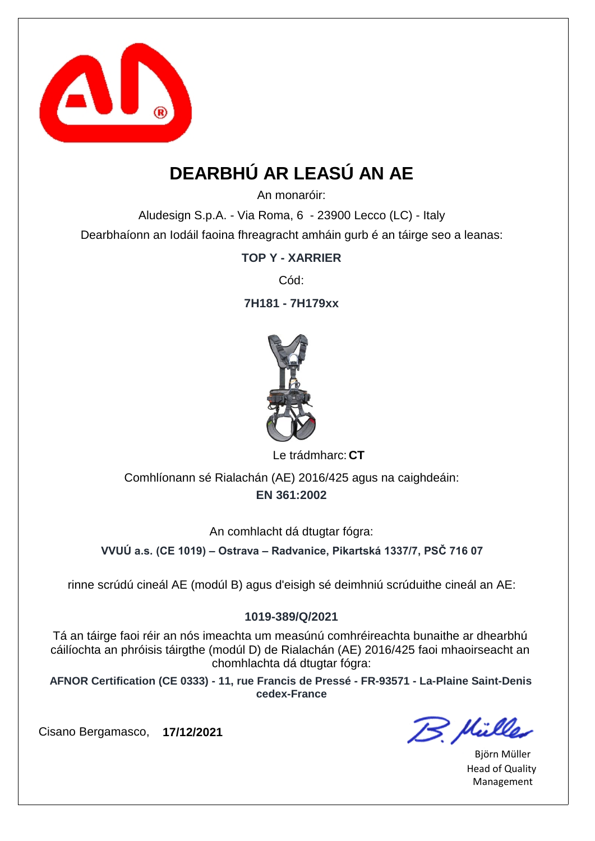

# **DEARBHÚ AR LEASÚ AN AE**

An monaróir:

Aludesign S.p.A. - Via Roma, 6 - 23900 Lecco (LC) - Italy Dearbhaíonn an Iodáil faoina fhreagracht amháin gurb é an táirge seo a leanas:

**TOP Y - XARRIER**

Cód:

**7H181 - 7H179xx**



Le trádmharc: CT

**EN 361:2002** Comhlíonann sé Rialachán (AE) 2016/425 agus na caighdeáin:

An comhlacht dá dtugtar fógra:

**VVUÚ a.s. (CE 1019) – Ostrava – Radvanice, Pikartská 1337/7, PSČ 716 07**

rinne scrúdú cineál AE (modúl B) agus d'eisigh sé deimhniú scrúduithe cineál an AE:

#### **1019-389/Q/2021**

Tá an táirge faoi réir an nós imeachta um measúnú comhréireachta bunaithe ar dhearbhú cáilíochta an phróisis táirgthe (modúl D) de Rialachán (AE) 2016/425 faoi mhaoirseacht an chomhlachta dá dtugtar fógra:

**AFNOR Certification (CE 0333) - 11, rue Francis de Pressé - FR-93571 - La-Plaine Saint-Denis cedex-France**

B. Mülles

Björn Müller Head of Quality Management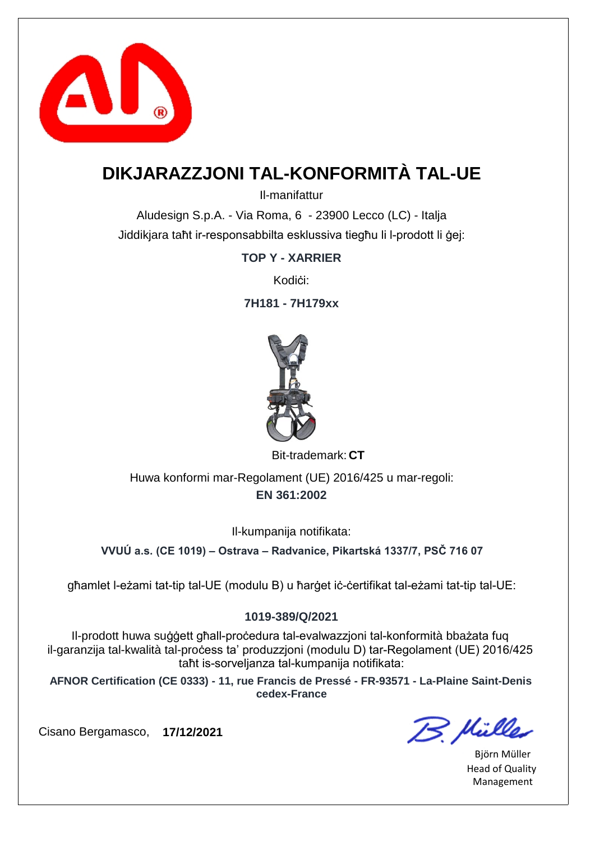

### **DIKJARAZZJONI TAL-KONFORMITÀ TAL-UE**

Il-manifattur

Aludesign S.p.A. - Via Roma, 6 - 23900 Lecco (LC) - Italja Jiddikjara taħt ir-responsabbilta esklussiva tiegħu li l-prodott li ġej:

**TOP Y - XARRIER**

Kodići<sup>.</sup>

**7H181 - 7H179xx**



Bit-trademark: CT

**EN 361:2002** Huwa konformi mar-Regolament (UE) 2016/425 u mar-regoli:

Il-kumpanija notifikata:

**VVUÚ a.s. (CE 1019) – Ostrava – Radvanice, Pikartská 1337/7, PSČ 716 07**

għamlet l-eżami tat-tip tal-UE (modulu B) u ħarġet iċ-ċertifikat tal-eżami tat-tip tal-UE:

#### **1019-389/Q/2021**

Il-prodott huwa suġġett għall-proċedura tal-evalwazzjoni tal-konformità bbażata fuq il-garanzija tal-kwalità tal-proċess ta' produzzjoni (modulu D) tar-Regolament (UE) 2016/425 taħt is-sorveljanza tal-kumpanija notifikata:

**AFNOR Certification (CE 0333) - 11, rue Francis de Pressé - FR-93571 - La-Plaine Saint-Denis cedex-France**

B. Mülles

Björn Müller Head of Quality Management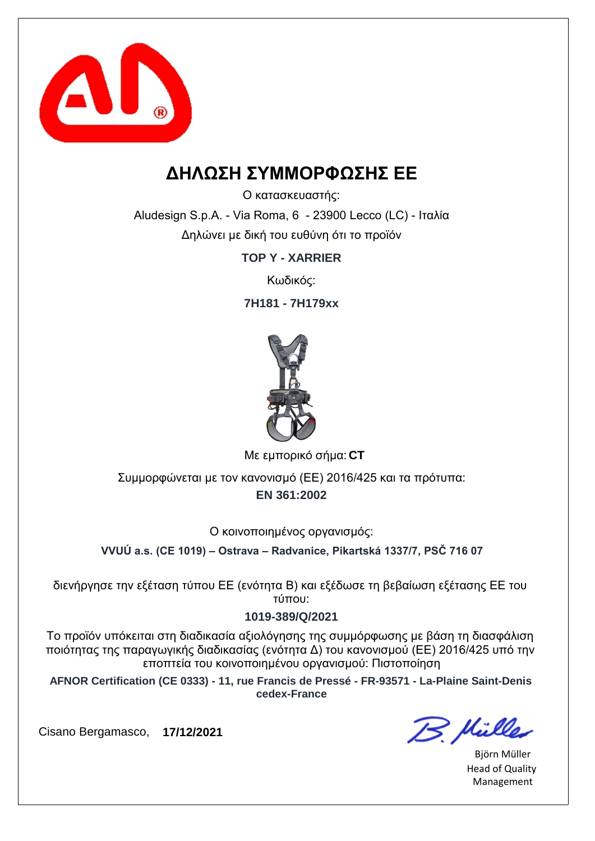

### **ΔΗΛΩΣΗ ΣΥΜΜΟΡΦΩΣΗΣ ΕΕ**

Ο κατασκευαστής:

Aludesign S.p.A. - Via Roma, 6 - 23900 Lecco (LC) - Ιταλία Δηλώνει με δική του ευθύνη ότι το προϊόν

**TOP Y - XARRIER**

Κωδικός:

**7H181 - 7H179xx**



**CT** Με εμπορικό σήμα:

**EN 361:2002** Συμμορφώνεται με τον κανονισμό (ΕΕ) 2016/425 και τα πρότυπα:

Ο κοινοποιημένος οργανισμός:

**VVUÚ a.s. (CE 1019) – Ostrava – Radvanice, Pikartská 1337/7, PSČ 716 07**

διενήργησε την εξέταση τύπου ΕΕ (ενότητα Β) και εξέδωσε τη βεβαίωση εξέτασης ΕΕ του τύπου:

#### **1019-389/Q/2021**

Το προϊόν υπόκειται στη διαδικασία αξιολόγησης της συμμόρφωσης με βάση τη διασφάλιση ποιότητας της παραγωγικής διαδικασίας (ενότητα Δ) του κανονισμού (ΕΕ) 2016/425 υπό την εποπτεία του κοινοποιημένου οργανισμού: Πιστοποίηση

**AFNOR Certification (CE 0333) - 11, rue Francis de Pressé - FR-93571 - La-Plaine Saint-Denis cedex-France**

B. Hülles

Björn Müller Head of Quality Management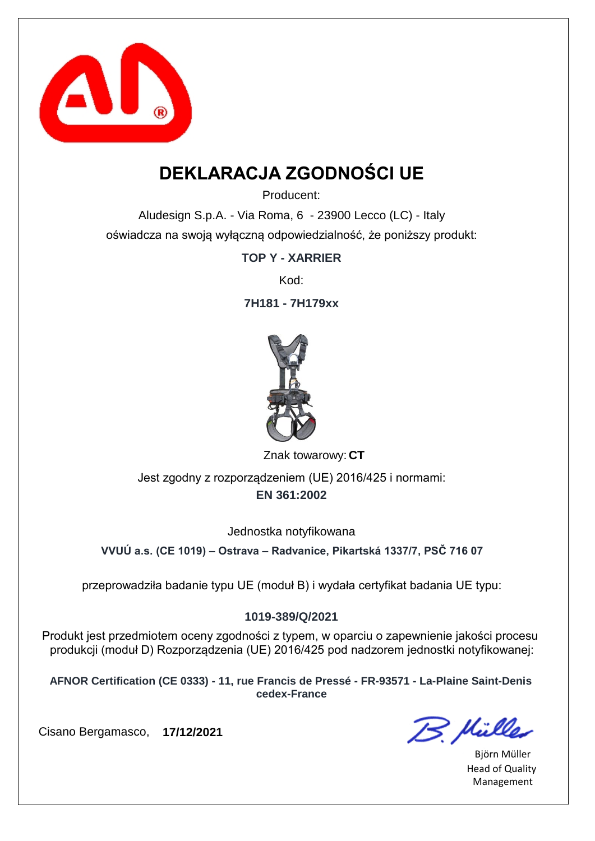

## **DEKLARACJA ZGODNOŚCI UE**

Producent:

Aludesign S.p.A. - Via Roma, 6 - 23900 Lecco (LC) - Italy oświadcza na swoją wyłączną odpowiedzialność, że poniższy produkt:

**TOP Y - XARRIER**

Kod:

**7H181 - 7H179xx**



Znak towarowy: CT

**EN 361:2002** Jest zgodny z rozporządzeniem (UE) 2016/425 i normami:

Jednostka notyfikowana

**VVUÚ a.s. (CE 1019) – Ostrava – Radvanice, Pikartská 1337/7, PSČ 716 07**

przeprowadziła badanie typu UE (moduł B) i wydała certyfikat badania UE typu:

#### **1019-389/Q/2021**

Produkt jest przedmiotem oceny zgodności z typem, w oparciu o zapewnienie jakości procesu produkcji (moduł D) Rozporządzenia (UE) 2016/425 pod nadzorem jednostki notyfikowanej:

**AFNOR Certification (CE 0333) - 11, rue Francis de Pressé - FR-93571 - La-Plaine Saint-Denis cedex-France**

B. Müller

Björn Müller Head of Quality Management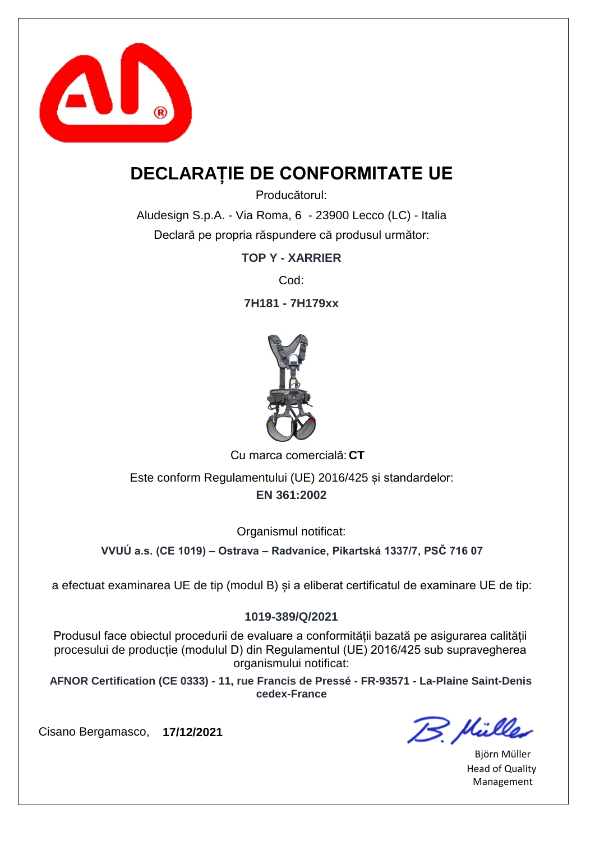

### **DECLARAȚIE DE CONFORMITATE UE**

Producătorul:

Aludesign S.p.A. - Via Roma, 6 - 23900 Lecco (LC) - Italia Declară pe propria răspundere că produsul următor:

**TOP Y - XARRIER**

Cod:

**7H181 - 7H179xx**



Cu marca comercială: CT

**EN 361:2002** Este conform Regulamentului (UE) 2016/425 și standardelor:

Organismul notificat:

**VVUÚ a.s. (CE 1019) – Ostrava – Radvanice, Pikartská 1337/7, PSČ 716 07**

a efectuat examinarea UE de tip (modul B) și a eliberat certificatul de examinare UE de tip:

#### **1019-389/Q/2021**

Produsul face obiectul procedurii de evaluare a conformității bazată pe asigurarea calității procesului de producție (modulul D) din Regulamentul (UE) 2016/425 sub supravegherea organismului notificat:

**AFNOR Certification (CE 0333) - 11, rue Francis de Pressé - FR-93571 - La-Plaine Saint-Denis cedex-France**

B. Mülles

Björn Müller Head of Quality Management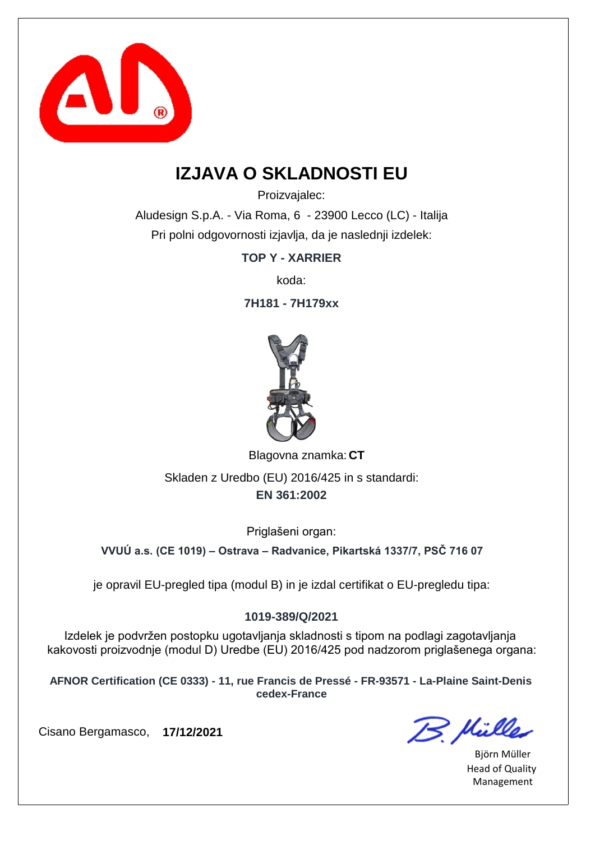

### **IZJAVA O SKLADNOSTI EU**

Proizvajalec:

Aludesign S.p.A. - Via Roma, 6 - 23900 Lecco (LC) - Italija Pri polni odgovornosti izjavlja, da je naslednji izdelek:

**TOP Y - XARRIER**

koda:

**7H181 - 7H179xx**



Blagovna znamka: CT

**EN 361:2002** Skladen z Uredbo (EU) 2016/425 in s standardi:

Priglašeni organ:

**VVUÚ a.s. (CE 1019) – Ostrava – Radvanice, Pikartská 1337/7, PSČ 716 07**

je opravil EU-pregled tipa (modul B) in je izdal certifikat o EU-pregledu tipa:

#### **1019-389/Q/2021**

Izdelek je podvržen postopku ugotavljanja skladnosti s tipom na podlagi zagotavljanja kakovosti proizvodnje (modul D) Uredbe (EU) 2016/425 pod nadzorom priglašenega organa:

**AFNOR Certification (CE 0333) - 11, rue Francis de Pressé - FR-93571 - La-Plaine Saint-Denis cedex-France**

B. Müller

Björn Müller Head of Quality Management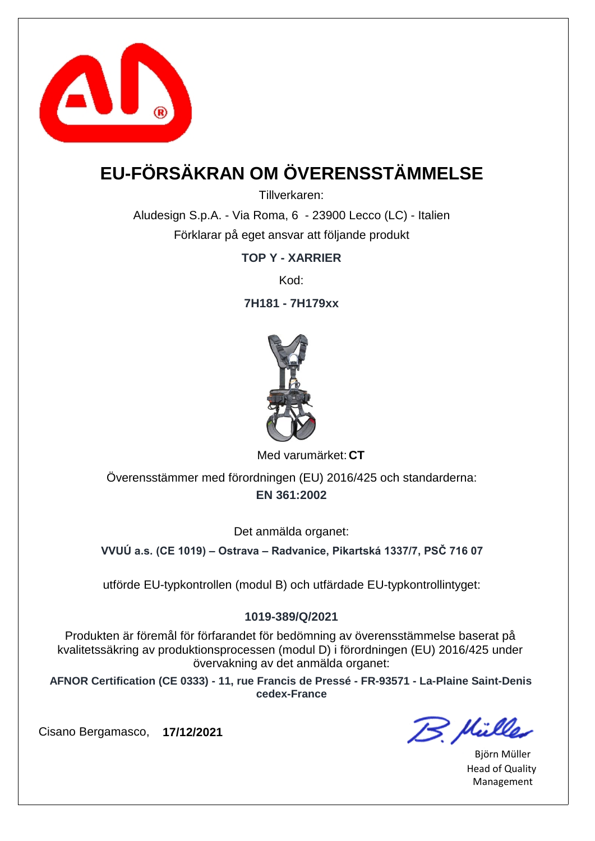

# **EU-FÖRSÄKRAN OM ÖVERENSSTÄMMELSE**

Tillverkaren:

Aludesign S.p.A. - Via Roma, 6 - 23900 Lecco (LC) - Italien Förklarar på eget ansvar att följande produkt

**TOP Y - XARRIER**

Kod:

**7H181 - 7H179xx**



Med varumärket: CT

**EN 361:2002** Överensstämmer med förordningen (EU) 2016/425 och standarderna:

Det anmälda organet:

**VVUÚ a.s. (CE 1019) – Ostrava – Radvanice, Pikartská 1337/7, PSČ 716 07**

utförde EU-typkontrollen (modul B) och utfärdade EU-typkontrollintyget:

#### **1019-389/Q/2021**

Produkten är föremål för förfarandet för bedömning av överensstämmelse baserat på kvalitetssäkring av produktionsprocessen (modul D) i förordningen (EU) 2016/425 under övervakning av det anmälda organet:

**AFNOR Certification (CE 0333) - 11, rue Francis de Pressé - FR-93571 - La-Plaine Saint-Denis cedex-France**

B. Mülles

Björn Müller Head of Quality Management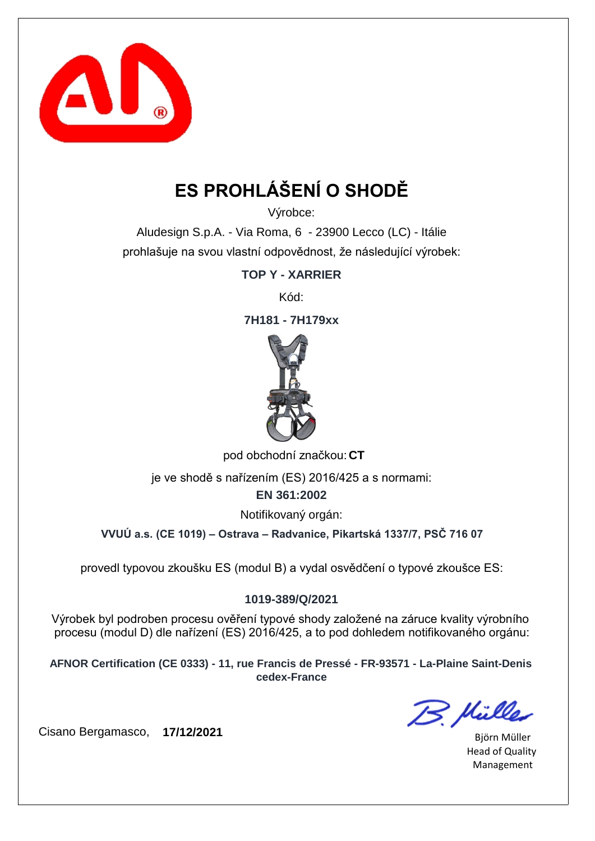

# **ES PROHLÁŠENÍ O SHODĚ**

Výrobce:

Aludesign S.p.A. - Via Roma, 6 - 23900 Lecco (LC) - Itálie prohlašuje na svou vlastní odpovědnost, že následující výrobek:

**TOP Y - XARRIER**

Kód:

**7H181 - 7H179xx**



pod obchodní značkou: **CT** 

je ve shodě s nařízením (ES) 2016/425 a s normami:

**EN 361:2002**

Notifikovaný orgán:

**VVUÚ a.s. (CE 1019) – Ostrava – Radvanice, Pikartská 1337/7, PSČ 716 07**

provedl typovou zkoušku ES (modul B) a vydal osvědčení o typové zkoušce ES:

#### **1019-389/Q/2021**

Výrobek byl podroben procesu ověření typové shody založené na záruce kvality výrobního procesu (modul D) dle nařízení (ES) 2016/425, a to pod dohledem notifikovaného orgánu:

**AFNOR Certification (CE 0333) - 11, rue Francis de Pressé - FR-93571 - La-Plaine Saint-Denis cedex-France**

B. Mülles

Björn Müller Head of Quality Management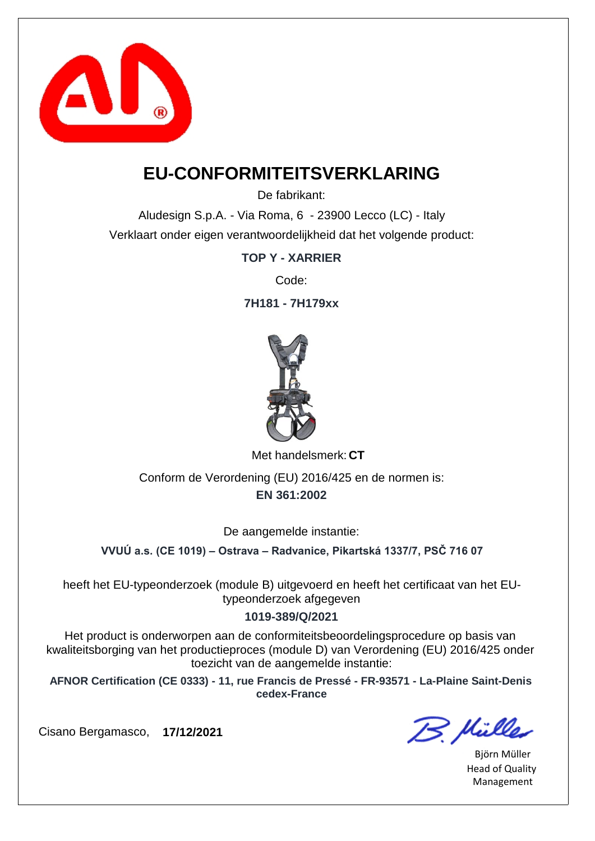

### **EU-CONFORMITEITSVERKLARING**

De fabrikant:

Aludesign S.p.A. - Via Roma, 6 - 23900 Lecco (LC) - Italy Verklaart onder eigen verantwoordelijkheid dat het volgende product:

**TOP Y - XARRIER**

Code:

**7H181 - 7H179xx**



Met handelsmerk: CT

**EN 361:2002** Conform de Verordening (EU) 2016/425 en de normen is:

De aangemelde instantie:

**VVUÚ a.s. (CE 1019) – Ostrava – Radvanice, Pikartská 1337/7, PSČ 716 07**

heeft het EU-typeonderzoek (module B) uitgevoerd en heeft het certificaat van het EUtypeonderzoek afgegeven

#### **1019-389/Q/2021**

Het product is onderworpen aan de conformiteitsbeoordelingsprocedure op basis van kwaliteitsborging van het productieproces (module D) van Verordening (EU) 2016/425 onder toezicht van de aangemelde instantie:

**AFNOR Certification (CE 0333) - 11, rue Francis de Pressé - FR-93571 - La-Plaine Saint-Denis cedex-France**

B. Mülles

Björn Müller Head of Quality Management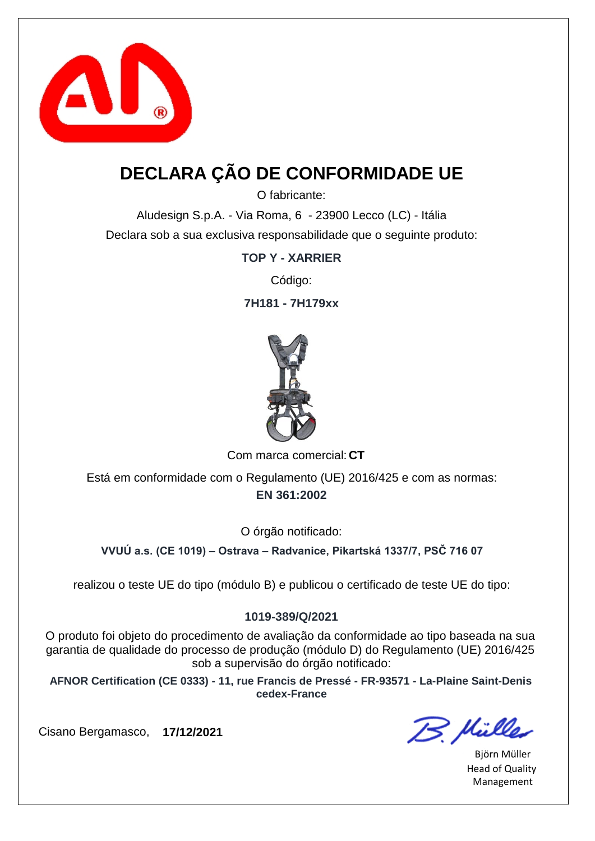

## **DECLARA ÇÃO DE CONFORMIDADE UE**

O fabricante:

Aludesign S.p.A. - Via Roma, 6 - 23900 Lecco (LC) - Itália Declara sob a sua exclusiva responsabilidade que o seguinte produto:

**TOP Y - XARRIER**

Código:

**7H181 - 7H179xx**



Com marca comercial: CT

**EN 361:2002** Está em conformidade com o Regulamento (UE) 2016/425 e com as normas:

O órgão notificado:

**VVUÚ a.s. (CE 1019) – Ostrava – Radvanice, Pikartská 1337/7, PSČ 716 07**

realizou o teste UE do tipo (módulo B) e publicou o certificado de teste UE do tipo:

#### **1019-389/Q/2021**

O produto foi objeto do procedimento de avaliação da conformidade ao tipo baseada na sua garantia de qualidade do processo de produção (módulo D) do Regulamento (UE) 2016/425 sob a supervisão do órgão notificado:

**AFNOR Certification (CE 0333) - 11, rue Francis de Pressé - FR-93571 - La-Plaine Saint-Denis cedex-France**

B. Mülles

Björn Müller Head of Quality Management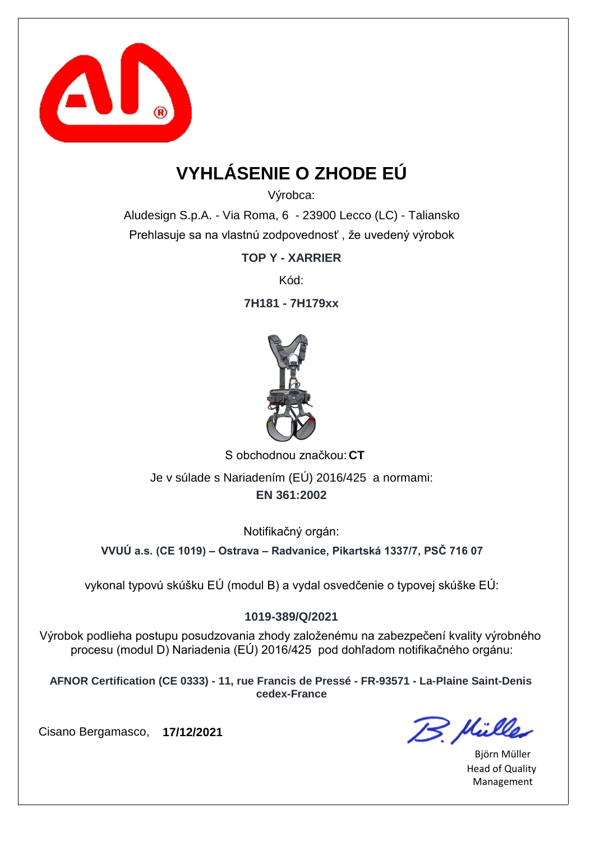

# **VYHLÁSENIE O ZHODE EÚ**

Výrobca:

Aludesign S.p.A. - Via Roma, 6 - 23900 Lecco (LC) - Taliansko Prehlasuje sa na vlastnú zodpovednosť , že uvedený výrobok

**TOP Y - XARRIER**

Kód:

**7H181 - 7H179xx**



S obchodnou značkou: CT **EN 361:2002** Je v súlade s Nariadením (EÚ) 2016/425 a normami:

Notifikačný orgán:

**VVUÚ a.s. (CE 1019) – Ostrava – Radvanice, Pikartská 1337/7, PSČ 716 07**

vykonal typovú skúšku EÚ (modul B) a vydal osvedčenie o typovej skúške EÚ:

#### **1019-389/Q/2021**

Výrobok podlieha postupu posudzovania zhody založenému na zabezpečení kvality výrobného procesu (modul D) Nariadenia (EÚ) 2016/425 pod dohľadom notifikačného orgánu:

**AFNOR Certification (CE 0333) - 11, rue Francis de Pressé - FR-93571 - La-Plaine Saint-Denis cedex-France**

B. Müller

Björn Müller Head of Quality Management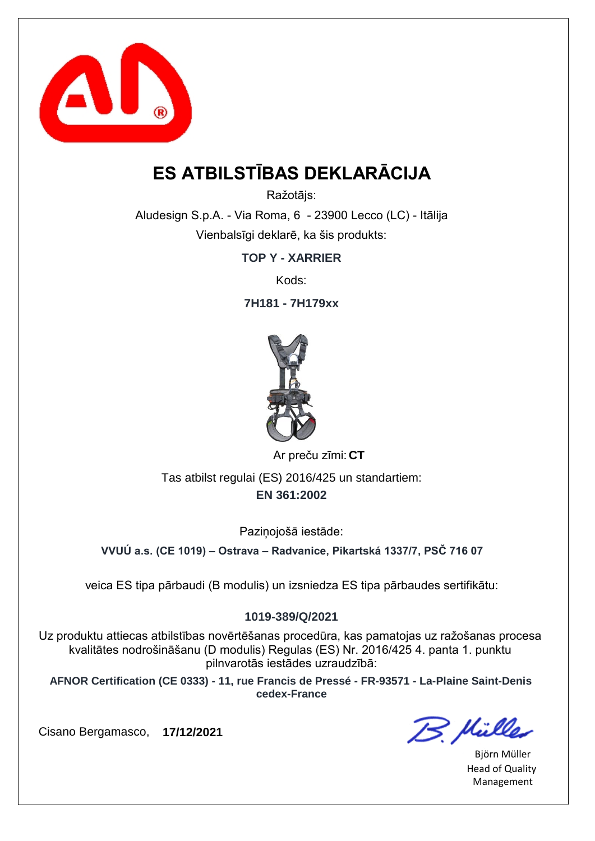

## **ES ATBILSTĪBAS DEKLARĀCIJA**

Ražotājs:

Aludesign S.p.A. - Via Roma, 6 - 23900 Lecco (LC) - Itālija Vienbalsīgi deklarē, ka šis produkts:

**TOP Y - XARRIER**

Kods:

**7H181 - 7H179xx**



**CT** Ar preču zīmi:

**EN 361:2002** Tas atbilst regulai (ES) 2016/425 un standartiem:

Pazinojošā iestāde:

**VVUÚ a.s. (CE 1019) – Ostrava – Radvanice, Pikartská 1337/7, PSČ 716 07**

veica ES tipa pārbaudi (B modulis) un izsniedza ES tipa pārbaudes sertifikātu:

#### **1019-389/Q/2021**

Uz produktu attiecas atbilstības novērtēšanas procedūra, kas pamatojas uz ražošanas procesa kvalitātes nodrošināšanu (D modulis) Regulas (ES) Nr. 2016/425 4. panta 1. punktu pilnvarotās iestādes uzraudzībā:

**AFNOR Certification (CE 0333) - 11, rue Francis de Pressé - FR-93571 - La-Plaine Saint-Denis cedex-France**

B. Müller

Björn Müller Head of Quality Management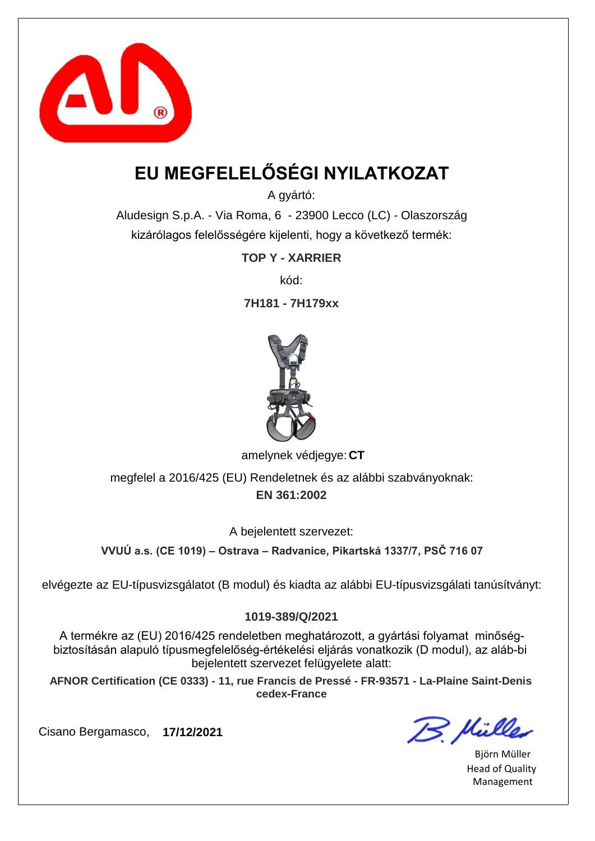

# **EU MEGFELELŐSÉGI NYILATKOZAT**

A gyártó:

Aludesign S.p.A. - Via Roma, 6 - 23900 Lecco (LC) - Olaszország kizárólagos felelősségére kijelenti, hogy a következő termék:

**TOP Y - XARRIER**

kód:

**7H181 - 7H179xx**



amelynek védjegye: CT

**EN 361:2002** megfelel a 2016/425 (EU) Rendeletnek és az alábbi szabványoknak:

A bejelentett szervezet:

**VVUÚ a.s. (CE 1019) – Ostrava – Radvanice, Pikartská 1337/7, PSČ 716 07**

elvégezte az EU-típusvizsgálatot (B modul) és kiadta az alábbi EU-típusvizsgálati tanúsítványt:

#### **1019-389/Q/2021**

A termékre az (EU) 2016/425 rendeletben meghatározott, a gyártási folyamat minőségbiztosításán alapuló típusmegfelelőség-értékelési eljárás vonatkozik (D modul), az aláb-bi bejelentett szervezet felügyelete alatt:

**AFNOR Certification (CE 0333) - 11, rue Francis de Pressé - FR-93571 - La-Plaine Saint-Denis cedex-France**

B. Hülles

Björn Müller Head of Quality Management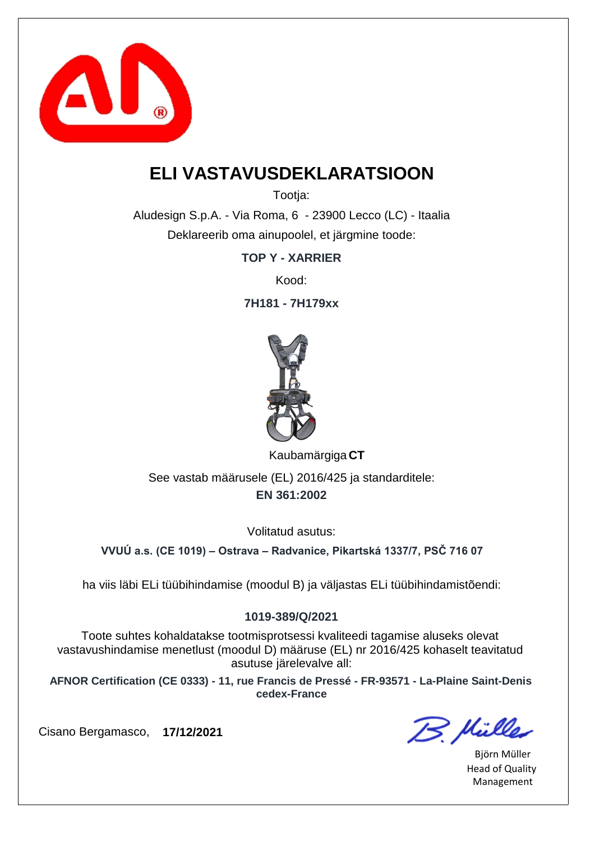

### **ELI VASTAVUSDEKLARATSIOON**

Tootia:

Aludesign S.p.A. - Via Roma, 6 - 23900 Lecco (LC) - Itaalia Deklareerib oma ainupoolel, et järgmine toode:

**TOP Y - XARRIER**

Kood:

**7H181 - 7H179xx**



**CT** Kaubamärgiga

**EN 361:2002** See vastab määrusele (EL) 2016/425 ja standarditele:

Volitatud asutus:

**VVUÚ a.s. (CE 1019) – Ostrava – Radvanice, Pikartská 1337/7, PSČ 716 07**

ha viis läbi ELi tüübihindamise (moodul B) ja väljastas ELi tüübihindamistõendi:

#### **1019-389/Q/2021**

Toote suhtes kohaldatakse tootmisprotsessi kvaliteedi tagamise aluseks olevat vastavushindamise menetlust (moodul D) määruse (EL) nr 2016/425 kohaselt teavitatud asutuse järelevalve all:

**AFNOR Certification (CE 0333) - 11, rue Francis de Pressé - FR-93571 - La-Plaine Saint-Denis cedex-France**

B. Hülles

Björn Müller Head of Quality Management